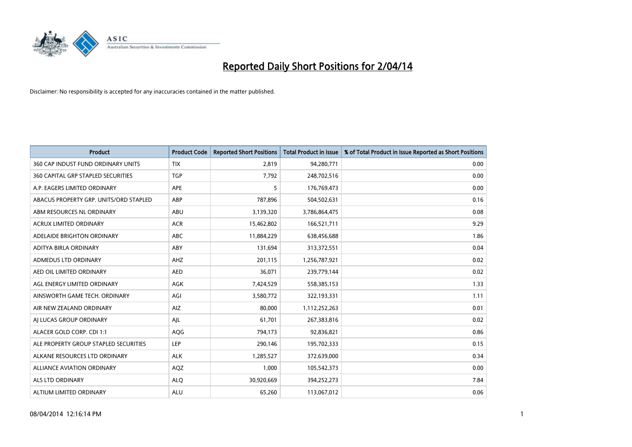

| <b>Product</b>                         | <b>Product Code</b> | <b>Reported Short Positions</b> | <b>Total Product in Issue</b> | % of Total Product in Issue Reported as Short Positions |
|----------------------------------------|---------------------|---------------------------------|-------------------------------|---------------------------------------------------------|
| 360 CAP INDUST FUND ORDINARY UNITS     | <b>TIX</b>          | 2,819                           | 94,280,771                    | 0.00                                                    |
| 360 CAPITAL GRP STAPLED SECURITIES     | <b>TGP</b>          | 7,792                           | 248,702,516                   | 0.00                                                    |
| A.P. EAGERS LIMITED ORDINARY           | APE                 | 5                               | 176,769,473                   | 0.00                                                    |
| ABACUS PROPERTY GRP. UNITS/ORD STAPLED | ABP                 | 787,896                         | 504,502,631                   | 0.16                                                    |
| ABM RESOURCES NL ORDINARY              | ABU                 | 3,139,320                       | 3,786,864,475                 | 0.08                                                    |
| <b>ACRUX LIMITED ORDINARY</b>          | <b>ACR</b>          | 15,462,802                      | 166,521,711                   | 9.29                                                    |
| ADELAIDE BRIGHTON ORDINARY             | <b>ABC</b>          | 11,884,229                      | 638,456,688                   | 1.86                                                    |
| ADITYA BIRLA ORDINARY                  | ABY                 | 131,694                         | 313,372,551                   | 0.04                                                    |
| ADMEDUS LTD ORDINARY                   | AHZ                 | 201,115                         | 1,256,787,921                 | 0.02                                                    |
| AED OIL LIMITED ORDINARY               | <b>AED</b>          | 36,071                          | 239,779,144                   | 0.02                                                    |
| AGL ENERGY LIMITED ORDINARY            | AGK                 | 7,424,529                       | 558,385,153                   | 1.33                                                    |
| AINSWORTH GAME TECH. ORDINARY          | AGI                 | 3,580,772                       | 322,193,331                   | 1.11                                                    |
| AIR NEW ZEALAND ORDINARY               | AIZ                 | 80,000                          | 1,112,252,263                 | 0.01                                                    |
| AI LUCAS GROUP ORDINARY                | AJL                 | 61,701                          | 267,383,816                   | 0.02                                                    |
| ALACER GOLD CORP. CDI 1:1              | AQG                 | 794,173                         | 92,836,821                    | 0.86                                                    |
| ALE PROPERTY GROUP STAPLED SECURITIES  | LEP                 | 290,146                         | 195,702,333                   | 0.15                                                    |
| ALKANE RESOURCES LTD ORDINARY          | <b>ALK</b>          | 1,285,527                       | 372,639,000                   | 0.34                                                    |
| ALLIANCE AVIATION ORDINARY             | AQZ                 | 1,000                           | 105,542,373                   | 0.00                                                    |
| ALS LTD ORDINARY                       | <b>ALO</b>          | 30,920,669                      | 394,252,273                   | 7.84                                                    |
| ALTIUM LIMITED ORDINARY                | <b>ALU</b>          | 65,260                          | 113,067,012                   | 0.06                                                    |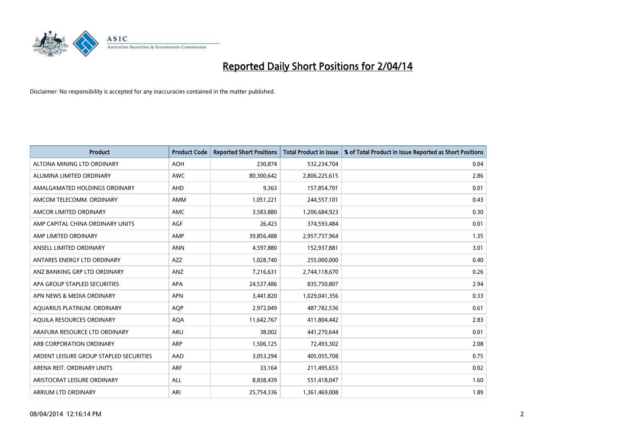

| <b>Product</b>                          | <b>Product Code</b> | <b>Reported Short Positions</b> | <b>Total Product in Issue</b> | % of Total Product in Issue Reported as Short Positions |
|-----------------------------------------|---------------------|---------------------------------|-------------------------------|---------------------------------------------------------|
| ALTONA MINING LTD ORDINARY              | <b>AOH</b>          | 230,874                         | 532,234,704                   | 0.04                                                    |
| ALUMINA LIMITED ORDINARY                | <b>AWC</b>          | 80,300,642                      | 2,806,225,615                 | 2.86                                                    |
| AMALGAMATED HOLDINGS ORDINARY           | AHD                 | 9,363                           | 157,854,701                   | 0.01                                                    |
| AMCOM TELECOMM, ORDINARY                | AMM                 | 1,051,221                       | 244,557,101                   | 0.43                                                    |
| AMCOR LIMITED ORDINARY                  | AMC                 | 3,583,880                       | 1,206,684,923                 | 0.30                                                    |
| AMP CAPITAL CHINA ORDINARY UNITS        | <b>AGF</b>          | 26,423                          | 374,593,484                   | 0.01                                                    |
| AMP LIMITED ORDINARY                    | AMP                 | 39,856,488                      | 2,957,737,964                 | 1.35                                                    |
| ANSELL LIMITED ORDINARY                 | <b>ANN</b>          | 4,597,880                       | 152,937,881                   | 3.01                                                    |
| ANTARES ENERGY LTD ORDINARY             | <b>AZZ</b>          | 1,028,740                       | 255,000,000                   | 0.40                                                    |
| ANZ BANKING GRP LTD ORDINARY            | ANZ                 | 7,216,631                       | 2,744,118,670                 | 0.26                                                    |
| APA GROUP STAPLED SECURITIES            | APA                 | 24,537,486                      | 835,750,807                   | 2.94                                                    |
| APN NEWS & MEDIA ORDINARY               | <b>APN</b>          | 3,441,820                       | 1,029,041,356                 | 0.33                                                    |
| AQUARIUS PLATINUM. ORDINARY             | <b>AOP</b>          | 2,972,049                       | 487,782,536                   | 0.61                                                    |
| AQUILA RESOURCES ORDINARY               | <b>AQA</b>          | 11,642,767                      | 411,804,442                   | 2.83                                                    |
| ARAFURA RESOURCE LTD ORDINARY           | <b>ARU</b>          | 38,002                          | 441,270,644                   | 0.01                                                    |
| ARB CORPORATION ORDINARY                | ARP                 | 1,506,125                       | 72,493,302                    | 2.08                                                    |
| ARDENT LEISURE GROUP STAPLED SECURITIES | AAD                 | 3,053,294                       | 405,055,708                   | 0.75                                                    |
| ARENA REIT. ORDINARY UNITS              | <b>ARF</b>          | 33,164                          | 211,495,653                   | 0.02                                                    |
| ARISTOCRAT LEISURE ORDINARY             | <b>ALL</b>          | 8,838,439                       | 551,418,047                   | 1.60                                                    |
| ARRIUM LTD ORDINARY                     | ARI                 | 25,754,336                      | 1,361,469,008                 | 1.89                                                    |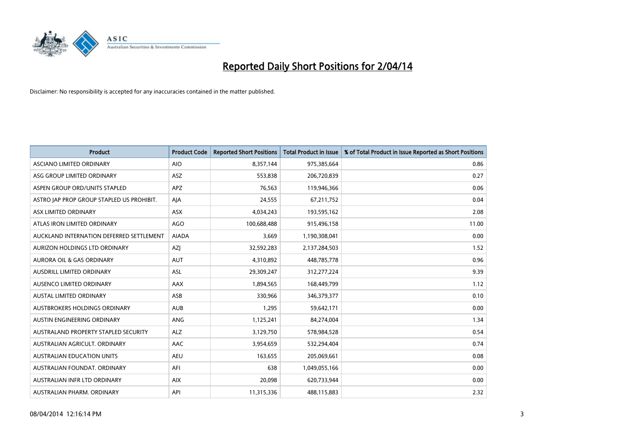

| <b>Product</b>                            | <b>Product Code</b> | <b>Reported Short Positions</b> | <b>Total Product in Issue</b> | % of Total Product in Issue Reported as Short Positions |
|-------------------------------------------|---------------------|---------------------------------|-------------------------------|---------------------------------------------------------|
| <b>ASCIANO LIMITED ORDINARY</b>           | <b>AIO</b>          | 8,357,144                       | 975,385,664                   | 0.86                                                    |
| ASG GROUP LIMITED ORDINARY                | ASZ                 | 553,838                         | 206,720,839                   | 0.27                                                    |
| ASPEN GROUP ORD/UNITS STAPLED             | <b>APZ</b>          | 76,563                          | 119,946,366                   | 0.06                                                    |
| ASTRO JAP PROP GROUP STAPLED US PROHIBIT. | AJA                 | 24,555                          | 67,211,752                    | 0.04                                                    |
| ASX LIMITED ORDINARY                      | ASX                 | 4,034,243                       | 193,595,162                   | 2.08                                                    |
| ATLAS IRON LIMITED ORDINARY               | <b>AGO</b>          | 100,688,488                     | 915,496,158                   | 11.00                                                   |
| AUCKLAND INTERNATION DEFERRED SETTLEMENT  | <b>AIADA</b>        | 3,669                           | 1,190,308,041                 | 0.00                                                    |
| AURIZON HOLDINGS LTD ORDINARY             | AZJ                 | 32,592,283                      | 2,137,284,503                 | 1.52                                                    |
| <b>AURORA OIL &amp; GAS ORDINARY</b>      | <b>AUT</b>          | 4,310,892                       | 448,785,778                   | 0.96                                                    |
| AUSDRILL LIMITED ORDINARY                 | <b>ASL</b>          | 29,309,247                      | 312,277,224                   | 9.39                                                    |
| AUSENCO LIMITED ORDINARY                  | AAX                 | 1,894,565                       | 168,449,799                   | 1.12                                                    |
| <b>AUSTAL LIMITED ORDINARY</b>            | ASB                 | 330,966                         | 346,379,377                   | 0.10                                                    |
| AUSTBROKERS HOLDINGS ORDINARY             | <b>AUB</b>          | 1,295                           | 59,642,171                    | 0.00                                                    |
| AUSTIN ENGINEERING ORDINARY               | ANG                 | 1,125,241                       | 84,274,004                    | 1.34                                                    |
| AUSTRALAND PROPERTY STAPLED SECURITY      | <b>ALZ</b>          | 3,129,750                       | 578,984,528                   | 0.54                                                    |
| AUSTRALIAN AGRICULT. ORDINARY             | AAC                 | 3,954,659                       | 532,294,404                   | 0.74                                                    |
| <b>AUSTRALIAN EDUCATION UNITS</b>         | <b>AEU</b>          | 163,655                         | 205,069,661                   | 0.08                                                    |
| AUSTRALIAN FOUNDAT, ORDINARY              | AFI                 | 638                             | 1,049,055,166                 | 0.00                                                    |
| AUSTRALIAN INFR LTD ORDINARY              | <b>AIX</b>          | 20,098                          | 620,733,944                   | 0.00                                                    |
| AUSTRALIAN PHARM. ORDINARY                | API                 | 11,315,336                      | 488,115,883                   | 2.32                                                    |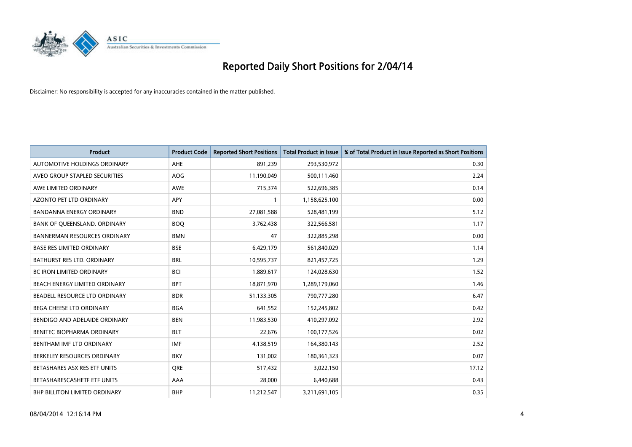

| <b>Product</b>                      | <b>Product Code</b> | <b>Reported Short Positions</b> | <b>Total Product in Issue</b> | % of Total Product in Issue Reported as Short Positions |
|-------------------------------------|---------------------|---------------------------------|-------------------------------|---------------------------------------------------------|
| AUTOMOTIVE HOLDINGS ORDINARY        | <b>AHE</b>          | 891,239                         | 293,530,972                   | 0.30                                                    |
| AVEO GROUP STAPLED SECURITIES       | <b>AOG</b>          | 11,190,049                      | 500,111,460                   | 2.24                                                    |
| AWE LIMITED ORDINARY                | <b>AWE</b>          | 715,374                         | 522,696,385                   | 0.14                                                    |
| AZONTO PET LTD ORDINARY             | <b>APY</b>          | 1                               | 1,158,625,100                 | 0.00                                                    |
| <b>BANDANNA ENERGY ORDINARY</b>     | <b>BND</b>          | 27,081,588                      | 528,481,199                   | 5.12                                                    |
| BANK OF QUEENSLAND. ORDINARY        | <b>BOQ</b>          | 3,762,438                       | 322,566,581                   | 1.17                                                    |
| <b>BANNERMAN RESOURCES ORDINARY</b> | <b>BMN</b>          | 47                              | 322,885,298                   | 0.00                                                    |
| <b>BASE RES LIMITED ORDINARY</b>    | <b>BSE</b>          | 6,429,179                       | 561,840,029                   | 1.14                                                    |
| <b>BATHURST RES LTD. ORDINARY</b>   | <b>BRL</b>          | 10,595,737                      | 821,457,725                   | 1.29                                                    |
| <b>BC IRON LIMITED ORDINARY</b>     | <b>BCI</b>          | 1,889,617                       | 124,028,630                   | 1.52                                                    |
| BEACH ENERGY LIMITED ORDINARY       | <b>BPT</b>          | 18,871,970                      | 1,289,179,060                 | 1.46                                                    |
| BEADELL RESOURCE LTD ORDINARY       | <b>BDR</b>          | 51,133,305                      | 790,777,280                   | 6.47                                                    |
| <b>BEGA CHEESE LTD ORDINARY</b>     | <b>BGA</b>          | 641,552                         | 152,245,802                   | 0.42                                                    |
| BENDIGO AND ADELAIDE ORDINARY       | <b>BEN</b>          | 11,983,530                      | 410,297,092                   | 2.92                                                    |
| BENITEC BIOPHARMA ORDINARY          | <b>BLT</b>          | 22,676                          | 100,177,526                   | 0.02                                                    |
| BENTHAM IMF LTD ORDINARY            | <b>IMF</b>          | 4,138,519                       | 164,380,143                   | 2.52                                                    |
| BERKELEY RESOURCES ORDINARY         | <b>BKY</b>          | 131,002                         | 180,361,323                   | 0.07                                                    |
| BETASHARES ASX RES ETF UNITS        | <b>ORE</b>          | 517,432                         | 3,022,150                     | 17.12                                                   |
| BETASHARESCASHETF ETF UNITS         | AAA                 | 28,000                          | 6,440,688                     | 0.43                                                    |
| BHP BILLITON LIMITED ORDINARY       | <b>BHP</b>          | 11,212,547                      | 3,211,691,105                 | 0.35                                                    |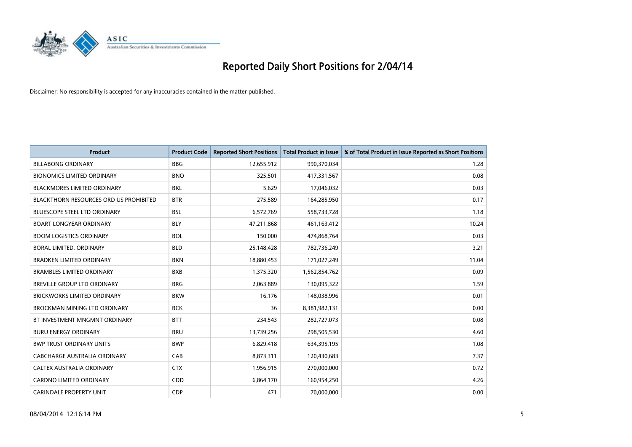

| <b>Product</b>                                | <b>Product Code</b> | <b>Reported Short Positions</b> | <b>Total Product in Issue</b> | % of Total Product in Issue Reported as Short Positions |
|-----------------------------------------------|---------------------|---------------------------------|-------------------------------|---------------------------------------------------------|
| <b>BILLABONG ORDINARY</b>                     | <b>BBG</b>          | 12,655,912                      | 990,370,034                   | 1.28                                                    |
| <b>BIONOMICS LIMITED ORDINARY</b>             | <b>BNO</b>          | 325,501                         | 417,331,567                   | 0.08                                                    |
| <b>BLACKMORES LIMITED ORDINARY</b>            | BKL                 | 5,629                           | 17,046,032                    | 0.03                                                    |
| <b>BLACKTHORN RESOURCES ORD US PROHIBITED</b> | <b>BTR</b>          | 275,589                         | 164,285,950                   | 0.17                                                    |
| <b>BLUESCOPE STEEL LTD ORDINARY</b>           | <b>BSL</b>          | 6,572,769                       | 558,733,728                   | 1.18                                                    |
| <b>BOART LONGYEAR ORDINARY</b>                | <b>BLY</b>          | 47,211,868                      | 461,163,412                   | 10.24                                                   |
| <b>BOOM LOGISTICS ORDINARY</b>                | <b>BOL</b>          | 150,000                         | 474,868,764                   | 0.03                                                    |
| BORAL LIMITED. ORDINARY                       | <b>BLD</b>          | 25,148,428                      | 782,736,249                   | 3.21                                                    |
| <b>BRADKEN LIMITED ORDINARY</b>               | <b>BKN</b>          | 18,880,453                      | 171,027,249                   | 11.04                                                   |
| <b>BRAMBLES LIMITED ORDINARY</b>              | <b>BXB</b>          | 1,375,320                       | 1,562,854,762                 | 0.09                                                    |
| BREVILLE GROUP LTD ORDINARY                   | <b>BRG</b>          | 2,063,889                       | 130,095,322                   | 1.59                                                    |
| BRICKWORKS LIMITED ORDINARY                   | <b>BKW</b>          | 16,176                          | 148,038,996                   | 0.01                                                    |
| BROCKMAN MINING LTD ORDINARY                  | <b>BCK</b>          | 36                              | 8,381,982,131                 | 0.00                                                    |
| BT INVESTMENT MNGMNT ORDINARY                 | <b>BTT</b>          | 234,543                         | 282,727,073                   | 0.08                                                    |
| <b>BURU ENERGY ORDINARY</b>                   | <b>BRU</b>          | 13,739,256                      | 298,505,530                   | 4.60                                                    |
| <b>BWP TRUST ORDINARY UNITS</b>               | <b>BWP</b>          | 6,829,418                       | 634,395,195                   | 1.08                                                    |
| CABCHARGE AUSTRALIA ORDINARY                  | CAB                 | 8,873,311                       | 120,430,683                   | 7.37                                                    |
| CALTEX AUSTRALIA ORDINARY                     | <b>CTX</b>          | 1,956,915                       | 270,000,000                   | 0.72                                                    |
| <b>CARDNO LIMITED ORDINARY</b>                | CDD                 | 6,864,170                       | 160,954,250                   | 4.26                                                    |
| <b>CARINDALE PROPERTY UNIT</b>                | <b>CDP</b>          | 471                             | 70,000,000                    | 0.00                                                    |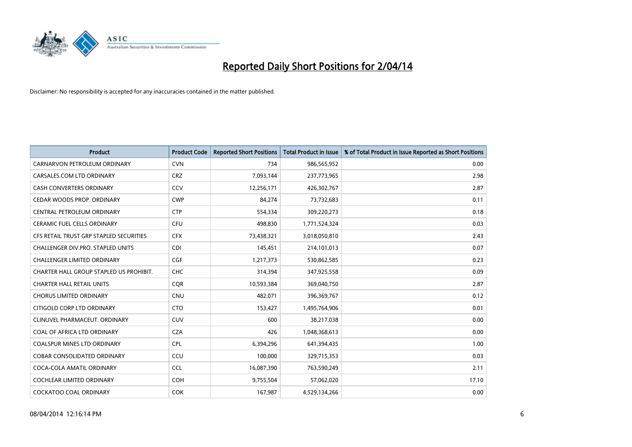

| <b>Product</b>                          | <b>Product Code</b> | <b>Reported Short Positions</b> | <b>Total Product in Issue</b> | % of Total Product in Issue Reported as Short Positions |
|-----------------------------------------|---------------------|---------------------------------|-------------------------------|---------------------------------------------------------|
| CARNARVON PETROLEUM ORDINARY            | <b>CVN</b>          | 734                             | 986,565,952                   | 0.00                                                    |
| CARSALES.COM LTD ORDINARY               | <b>CRZ</b>          | 7,093,144                       | 237,773,965                   | 2.98                                                    |
| CASH CONVERTERS ORDINARY                | CCV                 | 12,256,171                      | 426,302,767                   | 2.87                                                    |
| CEDAR WOODS PROP. ORDINARY              | <b>CWP</b>          | 84,274                          | 73,732,683                    | 0.11                                                    |
| <b>CENTRAL PETROLEUM ORDINARY</b>       | <b>CTP</b>          | 554,334                         | 309,220,273                   | 0.18                                                    |
| <b>CERAMIC FUEL CELLS ORDINARY</b>      | <b>CFU</b>          | 498,830                         | 1,771,524,324                 | 0.03                                                    |
| CFS RETAIL TRUST GRP STAPLED SECURITIES | <b>CFX</b>          | 73,438,321                      | 3,018,050,810                 | 2.43                                                    |
| CHALLENGER DIV.PRO. STAPLED UNITS       | <b>CDI</b>          | 145,451                         | 214,101,013                   | 0.07                                                    |
| <b>CHALLENGER LIMITED ORDINARY</b>      | <b>CGF</b>          | 1,217,373                       | 530,862,585                   | 0.23                                                    |
| CHARTER HALL GROUP STAPLED US PROHIBIT. | <b>CHC</b>          | 314,394                         | 347,925,558                   | 0.09                                                    |
| <b>CHARTER HALL RETAIL UNITS</b>        | <b>COR</b>          | 10,593,384                      | 369,040,750                   | 2.87                                                    |
| <b>CHORUS LIMITED ORDINARY</b>          | <b>CNU</b>          | 482,071                         | 396,369,767                   | 0.12                                                    |
| CITIGOLD CORP LTD ORDINARY              | <b>CTO</b>          | 153,427                         | 1,495,764,906                 | 0.01                                                    |
| CLINUVEL PHARMACEUT, ORDINARY           | <b>CUV</b>          | 600                             | 38,217,038                    | 0.00                                                    |
| COAL OF AFRICA LTD ORDINARY             | <b>CZA</b>          | 426                             | 1,048,368,613                 | 0.00                                                    |
| <b>COALSPUR MINES LTD ORDINARY</b>      | <b>CPL</b>          | 6,394,296                       | 641,394,435                   | 1.00                                                    |
| <b>COBAR CONSOLIDATED ORDINARY</b>      | CCU                 | 100,000                         | 329,715,353                   | 0.03                                                    |
| COCA-COLA AMATIL ORDINARY               | <b>CCL</b>          | 16,087,390                      | 763,590,249                   | 2.11                                                    |
| <b>COCHLEAR LIMITED ORDINARY</b>        | <b>COH</b>          | 9,755,504                       | 57,062,020                    | 17.10                                                   |
| <b>COCKATOO COAL ORDINARY</b>           | <b>COK</b>          | 167,987                         | 4,529,134,266                 | 0.00                                                    |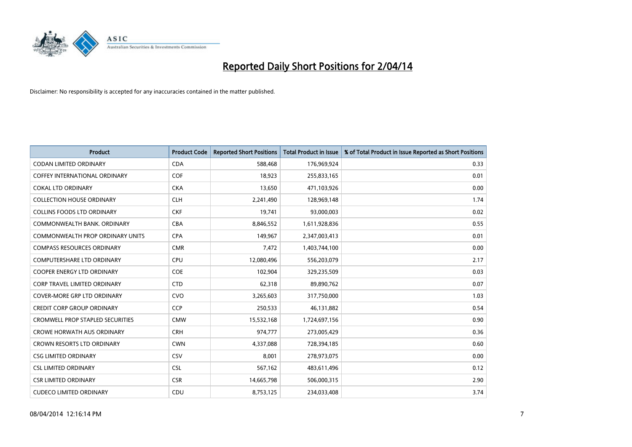

| <b>Product</b>                          | <b>Product Code</b> | <b>Reported Short Positions</b> | <b>Total Product in Issue</b> | % of Total Product in Issue Reported as Short Positions |
|-----------------------------------------|---------------------|---------------------------------|-------------------------------|---------------------------------------------------------|
| <b>CODAN LIMITED ORDINARY</b>           | <b>CDA</b>          | 588.468                         | 176,969,924                   | 0.33                                                    |
| COFFEY INTERNATIONAL ORDINARY           | <b>COF</b>          | 18,923                          | 255,833,165                   | 0.01                                                    |
| <b>COKAL LTD ORDINARY</b>               | <b>CKA</b>          | 13,650                          | 471,103,926                   | 0.00                                                    |
| <b>COLLECTION HOUSE ORDINARY</b>        | <b>CLH</b>          | 2,241,490                       | 128,969,148                   | 1.74                                                    |
| <b>COLLINS FOODS LTD ORDINARY</b>       | <b>CKF</b>          | 19,741                          | 93,000,003                    | 0.02                                                    |
| COMMONWEALTH BANK, ORDINARY             | <b>CBA</b>          | 8,846,552                       | 1,611,928,836                 | 0.55                                                    |
| <b>COMMONWEALTH PROP ORDINARY UNITS</b> | <b>CPA</b>          | 149,967                         | 2,347,003,413                 | 0.01                                                    |
| <b>COMPASS RESOURCES ORDINARY</b>       | <b>CMR</b>          | 7,472                           | 1,403,744,100                 | 0.00                                                    |
| <b>COMPUTERSHARE LTD ORDINARY</b>       | <b>CPU</b>          | 12,080,496                      | 556,203,079                   | 2.17                                                    |
| <b>COOPER ENERGY LTD ORDINARY</b>       | <b>COE</b>          | 102,904                         | 329,235,509                   | 0.03                                                    |
| <b>CORP TRAVEL LIMITED ORDINARY</b>     | <b>CTD</b>          | 62,318                          | 89,890,762                    | 0.07                                                    |
| <b>COVER-MORE GRP LTD ORDINARY</b>      | <b>CVO</b>          | 3,265,603                       | 317,750,000                   | 1.03                                                    |
| <b>CREDIT CORP GROUP ORDINARY</b>       | <b>CCP</b>          | 250,533                         | 46,131,882                    | 0.54                                                    |
| <b>CROMWELL PROP STAPLED SECURITIES</b> | <b>CMW</b>          | 15,532,168                      | 1,724,697,156                 | 0.90                                                    |
| <b>CROWE HORWATH AUS ORDINARY</b>       | <b>CRH</b>          | 974,777                         | 273,005,429                   | 0.36                                                    |
| <b>CROWN RESORTS LTD ORDINARY</b>       | <b>CWN</b>          | 4,337,088                       | 728,394,185                   | 0.60                                                    |
| <b>CSG LIMITED ORDINARY</b>             | CSV                 | 8,001                           | 278,973,075                   | 0.00                                                    |
| <b>CSL LIMITED ORDINARY</b>             | <b>CSL</b>          | 567,162                         | 483,611,496                   | 0.12                                                    |
| <b>CSR LIMITED ORDINARY</b>             | <b>CSR</b>          | 14,665,798                      | 506,000,315                   | 2.90                                                    |
| <b>CUDECO LIMITED ORDINARY</b>          | CDU                 | 8,753,125                       | 234,033,408                   | 3.74                                                    |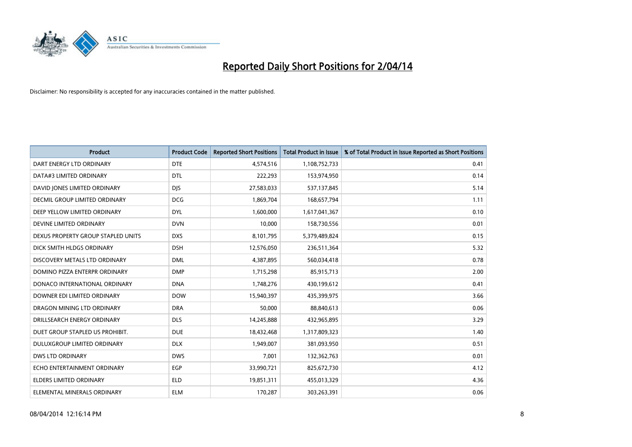

| <b>Product</b>                       | <b>Product Code</b> | <b>Reported Short Positions</b> | <b>Total Product in Issue</b> | % of Total Product in Issue Reported as Short Positions |
|--------------------------------------|---------------------|---------------------------------|-------------------------------|---------------------------------------------------------|
| DART ENERGY LTD ORDINARY             | <b>DTE</b>          | 4,574,516                       | 1,108,752,733                 | 0.41                                                    |
| DATA#3 LIMITED ORDINARY              | <b>DTL</b>          | 222,293                         | 153,974,950                   | 0.14                                                    |
| DAVID JONES LIMITED ORDINARY         | <b>DJS</b>          | 27,583,033                      | 537,137,845                   | 5.14                                                    |
| <b>DECMIL GROUP LIMITED ORDINARY</b> | <b>DCG</b>          | 1,869,704                       | 168,657,794                   | 1.11                                                    |
| DEEP YELLOW LIMITED ORDINARY         | <b>DYL</b>          | 1,600,000                       | 1,617,041,367                 | 0.10                                                    |
| DEVINE LIMITED ORDINARY              | <b>DVN</b>          | 10,000                          | 158,730,556                   | 0.01                                                    |
| DEXUS PROPERTY GROUP STAPLED UNITS   | <b>DXS</b>          | 8,101,795                       | 5,379,489,824                 | 0.15                                                    |
| DICK SMITH HLDGS ORDINARY            | <b>DSH</b>          | 12,576,050                      | 236,511,364                   | 5.32                                                    |
| DISCOVERY METALS LTD ORDINARY        | <b>DML</b>          | 4,387,895                       | 560,034,418                   | 0.78                                                    |
| DOMINO PIZZA ENTERPR ORDINARY        | <b>DMP</b>          | 1,715,298                       | 85,915,713                    | 2.00                                                    |
| DONACO INTERNATIONAL ORDINARY        | <b>DNA</b>          | 1,748,276                       | 430,199,612                   | 0.41                                                    |
| DOWNER EDI LIMITED ORDINARY          | <b>DOW</b>          | 15,940,397                      | 435,399,975                   | 3.66                                                    |
| DRAGON MINING LTD ORDINARY           | <b>DRA</b>          | 50,000                          | 88,840,613                    | 0.06                                                    |
| DRILLSEARCH ENERGY ORDINARY          | <b>DLS</b>          | 14,245,888                      | 432,965,895                   | 3.29                                                    |
| DUET GROUP STAPLED US PROHIBIT.      | <b>DUE</b>          | 18,432,468                      | 1,317,809,323                 | 1.40                                                    |
| DULUXGROUP LIMITED ORDINARY          | <b>DLX</b>          | 1,949,007                       | 381,093,950                   | 0.51                                                    |
| <b>DWS LTD ORDINARY</b>              | <b>DWS</b>          | 7,001                           | 132,362,763                   | 0.01                                                    |
| ECHO ENTERTAINMENT ORDINARY          | <b>EGP</b>          | 33,990,721                      | 825,672,730                   | 4.12                                                    |
| <b>ELDERS LIMITED ORDINARY</b>       | <b>ELD</b>          | 19,851,311                      | 455,013,329                   | 4.36                                                    |
| ELEMENTAL MINERALS ORDINARY          | <b>ELM</b>          | 170,287                         | 303,263,391                   | 0.06                                                    |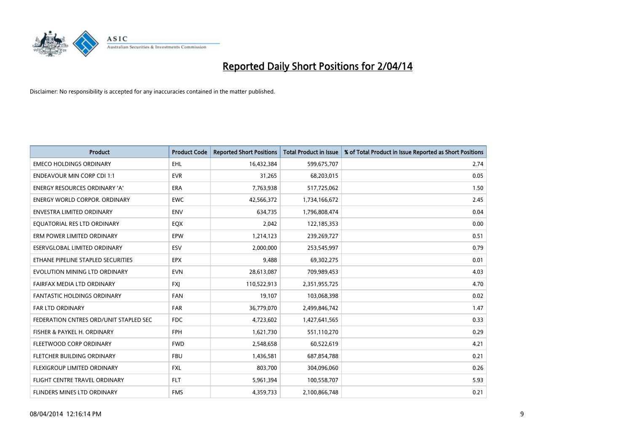

| <b>Product</b>                         | <b>Product Code</b> | <b>Reported Short Positions</b> | <b>Total Product in Issue</b> | % of Total Product in Issue Reported as Short Positions |
|----------------------------------------|---------------------|---------------------------------|-------------------------------|---------------------------------------------------------|
| <b>EMECO HOLDINGS ORDINARY</b>         | <b>EHL</b>          | 16,432,384                      | 599,675,707                   | 2.74                                                    |
| <b>ENDEAVOUR MIN CORP CDI 1:1</b>      | <b>EVR</b>          | 31,265                          | 68,203,015                    | 0.05                                                    |
| ENERGY RESOURCES ORDINARY 'A'          | <b>ERA</b>          | 7,763,938                       | 517,725,062                   | 1.50                                                    |
| <b>ENERGY WORLD CORPOR, ORDINARY</b>   | <b>EWC</b>          | 42,566,372                      | 1,734,166,672                 | 2.45                                                    |
| <b>ENVESTRA LIMITED ORDINARY</b>       | <b>ENV</b>          | 634,735                         | 1,796,808,474                 | 0.04                                                    |
| EQUATORIAL RES LTD ORDINARY            | EQX                 | 2,042                           | 122,185,353                   | 0.00                                                    |
| ERM POWER LIMITED ORDINARY             | EPW                 | 1,214,123                       | 239,269,727                   | 0.51                                                    |
| ESERVGLOBAL LIMITED ORDINARY           | ESV                 | 2,000,000                       | 253,545,997                   | 0.79                                                    |
| ETHANE PIPELINE STAPLED SECURITIES     | <b>EPX</b>          | 9,488                           | 69,302,275                    | 0.01                                                    |
| EVOLUTION MINING LTD ORDINARY          | <b>EVN</b>          | 28,613,087                      | 709,989,453                   | 4.03                                                    |
| FAIRFAX MEDIA LTD ORDINARY             | <b>FXJ</b>          | 110,522,913                     | 2,351,955,725                 | 4.70                                                    |
| <b>FANTASTIC HOLDINGS ORDINARY</b>     | <b>FAN</b>          | 19,107                          | 103,068,398                   | 0.02                                                    |
| <b>FAR LTD ORDINARY</b>                | <b>FAR</b>          | 36,779,070                      | 2,499,846,742                 | 1.47                                                    |
| FEDERATION CNTRES ORD/UNIT STAPLED SEC | <b>FDC</b>          | 4,723,602                       | 1,427,641,565                 | 0.33                                                    |
| FISHER & PAYKEL H. ORDINARY            | <b>FPH</b>          | 1,621,730                       | 551,110,270                   | 0.29                                                    |
| FLEETWOOD CORP ORDINARY                | <b>FWD</b>          | 2,548,658                       | 60,522,619                    | 4.21                                                    |
| FLETCHER BUILDING ORDINARY             | <b>FBU</b>          | 1,436,581                       | 687,854,788                   | 0.21                                                    |
| FLEXIGROUP LIMITED ORDINARY            | <b>FXL</b>          | 803,700                         | 304,096,060                   | 0.26                                                    |
| FLIGHT CENTRE TRAVEL ORDINARY          | <b>FLT</b>          | 5,961,394                       | 100,558,707                   | 5.93                                                    |
| <b>FLINDERS MINES LTD ORDINARY</b>     | <b>FMS</b>          | 4,359,733                       | 2,100,866,748                 | 0.21                                                    |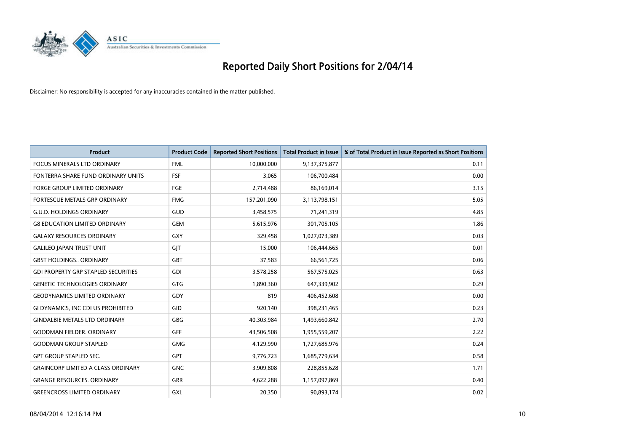

| <b>Product</b>                             | <b>Product Code</b> | <b>Reported Short Positions</b> | <b>Total Product in Issue</b> | % of Total Product in Issue Reported as Short Positions |
|--------------------------------------------|---------------------|---------------------------------|-------------------------------|---------------------------------------------------------|
| <b>FOCUS MINERALS LTD ORDINARY</b>         | <b>FML</b>          | 10,000,000                      | 9,137,375,877                 | 0.11                                                    |
| FONTERRA SHARE FUND ORDINARY UNITS         | <b>FSF</b>          | 3,065                           | 106,700,484                   | 0.00                                                    |
| <b>FORGE GROUP LIMITED ORDINARY</b>        | FGE                 | 2,714,488                       | 86,169,014                    | 3.15                                                    |
| FORTESCUE METALS GRP ORDINARY              | <b>FMG</b>          | 157,201,090                     | 3,113,798,151                 | 5.05                                                    |
| <b>G.U.D. HOLDINGS ORDINARY</b>            | GUD                 | 3,458,575                       | 71,241,319                    | 4.85                                                    |
| <b>G8 EDUCATION LIMITED ORDINARY</b>       | <b>GEM</b>          | 5,615,976                       | 301,705,105                   | 1.86                                                    |
| <b>GALAXY RESOURCES ORDINARY</b>           | <b>GXY</b>          | 329,458                         | 1,027,073,389                 | 0.03                                                    |
| <b>GALILEO JAPAN TRUST UNIT</b>            | GIT                 | 15,000                          | 106,444,665                   | 0.01                                                    |
| <b>GBST HOLDINGS., ORDINARY</b>            | <b>GBT</b>          | 37,583                          | 66,561,725                    | 0.06                                                    |
| <b>GDI PROPERTY GRP STAPLED SECURITIES</b> | GDI                 | 3,578,258                       | 567,575,025                   | 0.63                                                    |
| <b>GENETIC TECHNOLOGIES ORDINARY</b>       | <b>GTG</b>          | 1,890,360                       | 647,339,902                   | 0.29                                                    |
| <b>GEODYNAMICS LIMITED ORDINARY</b>        | GDY                 | 819                             | 406,452,608                   | 0.00                                                    |
| GI DYNAMICS, INC CDI US PROHIBITED         | GID                 | 920,140                         | 398,231,465                   | 0.23                                                    |
| <b>GINDALBIE METALS LTD ORDINARY</b>       | GBG                 | 40,303,984                      | 1,493,660,842                 | 2.70                                                    |
| <b>GOODMAN FIELDER, ORDINARY</b>           | GFF                 | 43,506,508                      | 1,955,559,207                 | 2.22                                                    |
| <b>GOODMAN GROUP STAPLED</b>               | <b>GMG</b>          | 4,129,990                       | 1,727,685,976                 | 0.24                                                    |
| <b>GPT GROUP STAPLED SEC.</b>              | GPT                 | 9,776,723                       | 1,685,779,634                 | 0.58                                                    |
| <b>GRAINCORP LIMITED A CLASS ORDINARY</b>  | <b>GNC</b>          | 3,909,808                       | 228,855,628                   | 1.71                                                    |
| <b>GRANGE RESOURCES, ORDINARY</b>          | <b>GRR</b>          | 4,622,288                       | 1,157,097,869                 | 0.40                                                    |
| <b>GREENCROSS LIMITED ORDINARY</b>         | GXL                 | 20,350                          | 90,893,174                    | 0.02                                                    |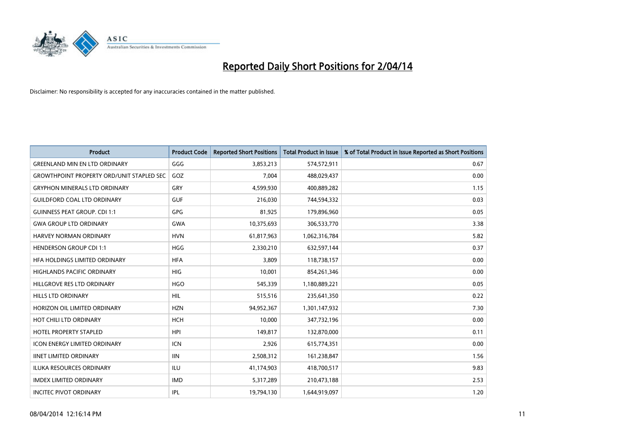

| <b>Product</b>                                   | <b>Product Code</b> | <b>Reported Short Positions</b> | <b>Total Product in Issue</b> | % of Total Product in Issue Reported as Short Positions |
|--------------------------------------------------|---------------------|---------------------------------|-------------------------------|---------------------------------------------------------|
| <b>GREENLAND MIN EN LTD ORDINARY</b>             | GGG                 | 3,853,213                       | 574,572,911                   | 0.67                                                    |
| <b>GROWTHPOINT PROPERTY ORD/UNIT STAPLED SEC</b> | GOZ                 | 7,004                           | 488,029,437                   | 0.00                                                    |
| <b>GRYPHON MINERALS LTD ORDINARY</b>             | GRY                 | 4,599,930                       | 400,889,282                   | 1.15                                                    |
| <b>GUILDFORD COAL LTD ORDINARY</b>               | <b>GUF</b>          | 216,030                         | 744,594,332                   | 0.03                                                    |
| <b>GUINNESS PEAT GROUP. CDI 1:1</b>              | GPG                 | 81,925                          | 179,896,960                   | 0.05                                                    |
| <b>GWA GROUP LTD ORDINARY</b>                    | <b>GWA</b>          | 10,375,693                      | 306,533,770                   | 3.38                                                    |
| <b>HARVEY NORMAN ORDINARY</b>                    | <b>HVN</b>          | 61,817,963                      | 1,062,316,784                 | 5.82                                                    |
| <b>HENDERSON GROUP CDI 1:1</b>                   | <b>HGG</b>          | 2,330,210                       | 632,597,144                   | 0.37                                                    |
| HFA HOLDINGS LIMITED ORDINARY                    | <b>HFA</b>          | 3,809                           | 118,738,157                   | 0.00                                                    |
| <b>HIGHLANDS PACIFIC ORDINARY</b>                | HIG                 | 10,001                          | 854,261,346                   | 0.00                                                    |
| HILLGROVE RES LTD ORDINARY                       | <b>HGO</b>          | 545,339                         | 1,180,889,221                 | 0.05                                                    |
| HILLS LTD ORDINARY                               | HIL                 | 515,516                         | 235,641,350                   | 0.22                                                    |
| HORIZON OIL LIMITED ORDINARY                     | <b>HZN</b>          | 94,952,367                      | 1,301,147,932                 | 7.30                                                    |
| HOT CHILI LTD ORDINARY                           | <b>HCH</b>          | 10,000                          | 347,732,196                   | 0.00                                                    |
| <b>HOTEL PROPERTY STAPLED</b>                    | <b>HPI</b>          | 149,817                         | 132,870,000                   | 0.11                                                    |
| <b>ICON ENERGY LIMITED ORDINARY</b>              | <b>ICN</b>          | 2,926                           | 615,774,351                   | 0.00                                                    |
| <b>IINET LIMITED ORDINARY</b>                    | <b>IIN</b>          | 2,508,312                       | 161,238,847                   | 1.56                                                    |
| ILUKA RESOURCES ORDINARY                         | ILU                 | 41,174,903                      | 418,700,517                   | 9.83                                                    |
| <b>IMDEX LIMITED ORDINARY</b>                    | <b>IMD</b>          | 5,317,289                       | 210,473,188                   | 2.53                                                    |
| <b>INCITEC PIVOT ORDINARY</b>                    | IPL                 | 19,794,130                      | 1,644,919,097                 | 1.20                                                    |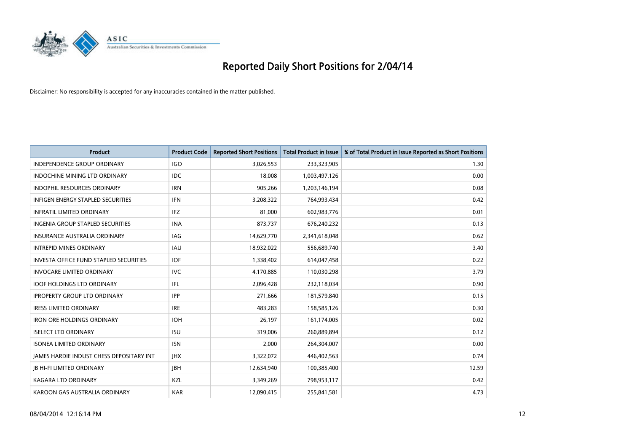

| <b>Product</b>                                | <b>Product Code</b> | <b>Reported Short Positions</b> | <b>Total Product in Issue</b> | % of Total Product in Issue Reported as Short Positions |
|-----------------------------------------------|---------------------|---------------------------------|-------------------------------|---------------------------------------------------------|
| <b>INDEPENDENCE GROUP ORDINARY</b>            | <b>IGO</b>          | 3,026,553                       | 233,323,905                   | 1.30                                                    |
| INDOCHINE MINING LTD ORDINARY                 | IDC                 | 18,008                          | 1,003,497,126                 | 0.00                                                    |
| <b>INDOPHIL RESOURCES ORDINARY</b>            | <b>IRN</b>          | 905,266                         | 1,203,146,194                 | 0.08                                                    |
| INFIGEN ENERGY STAPLED SECURITIES             | <b>IFN</b>          | 3,208,322                       | 764,993,434                   | 0.42                                                    |
| <b>INFRATIL LIMITED ORDINARY</b>              | <b>IFZ</b>          | 81,000                          | 602,983,776                   | 0.01                                                    |
| INGENIA GROUP STAPLED SECURITIES              | <b>INA</b>          | 873,737                         | 676,240,232                   | 0.13                                                    |
| <b>INSURANCE AUSTRALIA ORDINARY</b>           | IAG                 | 14,629,770                      | 2,341,618,048                 | 0.62                                                    |
| <b>INTREPID MINES ORDINARY</b>                | <b>IAU</b>          | 18,932,022                      | 556,689,740                   | 3.40                                                    |
| <b>INVESTA OFFICE FUND STAPLED SECURITIES</b> | <b>IOF</b>          | 1,338,402                       | 614,047,458                   | 0.22                                                    |
| <b>INVOCARE LIMITED ORDINARY</b>              | <b>IVC</b>          | 4,170,885                       | 110,030,298                   | 3.79                                                    |
| <b>IOOF HOLDINGS LTD ORDINARY</b>             | IFL                 | 2,096,428                       | 232,118,034                   | 0.90                                                    |
| <b>IPROPERTY GROUP LTD ORDINARY</b>           | <b>IPP</b>          | 271,666                         | 181,579,840                   | 0.15                                                    |
| <b>IRESS LIMITED ORDINARY</b>                 | <b>IRE</b>          | 483,283                         | 158,585,126                   | 0.30                                                    |
| <b>IRON ORE HOLDINGS ORDINARY</b>             | <b>IOH</b>          | 26,197                          | 161,174,005                   | 0.02                                                    |
| <b>ISELECT LTD ORDINARY</b>                   | <b>ISU</b>          | 319,006                         | 260,889,894                   | 0.12                                                    |
| <b>ISONEA LIMITED ORDINARY</b>                | <b>ISN</b>          | 2,000                           | 264,304,007                   | 0.00                                                    |
| JAMES HARDIE INDUST CHESS DEPOSITARY INT      | <b>IHX</b>          | 3,322,072                       | 446,402,563                   | 0.74                                                    |
| <b>JB HI-FI LIMITED ORDINARY</b>              | <b>JBH</b>          | 12,634,940                      | 100,385,400                   | 12.59                                                   |
| <b>KAGARA LTD ORDINARY</b>                    | KZL                 | 3,349,269                       | 798,953,117                   | 0.42                                                    |
| KAROON GAS AUSTRALIA ORDINARY                 | <b>KAR</b>          | 12,090,415                      | 255,841,581                   | 4.73                                                    |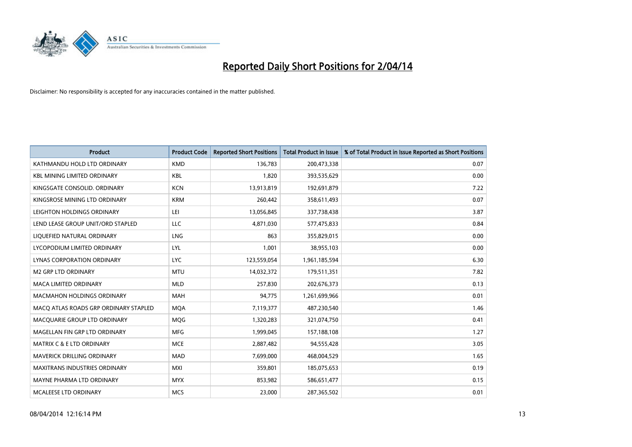

| <b>Product</b>                        | <b>Product Code</b> | <b>Reported Short Positions</b> | <b>Total Product in Issue</b> | % of Total Product in Issue Reported as Short Positions |
|---------------------------------------|---------------------|---------------------------------|-------------------------------|---------------------------------------------------------|
| KATHMANDU HOLD LTD ORDINARY           | <b>KMD</b>          | 136,783                         | 200,473,338                   | 0.07                                                    |
| <b>KBL MINING LIMITED ORDINARY</b>    | <b>KBL</b>          | 1,820                           | 393,535,629                   | 0.00                                                    |
| KINGSGATE CONSOLID. ORDINARY          | <b>KCN</b>          | 13,913,819                      | 192,691,879                   | 7.22                                                    |
| KINGSROSE MINING LTD ORDINARY         | <b>KRM</b>          | 260,442                         | 358,611,493                   | 0.07                                                    |
| LEIGHTON HOLDINGS ORDINARY            | LEI                 | 13,056,845                      | 337,738,438                   | 3.87                                                    |
| LEND LEASE GROUP UNIT/ORD STAPLED     | <b>LLC</b>          | 4,871,030                       | 577,475,833                   | 0.84                                                    |
| LIQUEFIED NATURAL ORDINARY            | <b>LNG</b>          | 863                             | 355,829,015                   | 0.00                                                    |
| LYCOPODIUM LIMITED ORDINARY           | <b>LYL</b>          | 1,001                           | 38,955,103                    | 0.00                                                    |
| LYNAS CORPORATION ORDINARY            | <b>LYC</b>          | 123,559,054                     | 1,961,185,594                 | 6.30                                                    |
| <b>M2 GRP LTD ORDINARY</b>            | <b>MTU</b>          | 14,032,372                      | 179,511,351                   | 7.82                                                    |
| MACA LIMITED ORDINARY                 | <b>MLD</b>          | 257,830                         | 202,676,373                   | 0.13                                                    |
| <b>MACMAHON HOLDINGS ORDINARY</b>     | MAH                 | 94,775                          | 1,261,699,966                 | 0.01                                                    |
| MACO ATLAS ROADS GRP ORDINARY STAPLED | <b>MOA</b>          | 7,119,377                       | 487,230,540                   | 1.46                                                    |
| MACQUARIE GROUP LTD ORDINARY          | MQG                 | 1,320,283                       | 321,074,750                   | 0.41                                                    |
| MAGELLAN FIN GRP LTD ORDINARY         | <b>MFG</b>          | 1,999,045                       | 157,188,108                   | 1.27                                                    |
| <b>MATRIX C &amp; E LTD ORDINARY</b>  | <b>MCE</b>          | 2,887,482                       | 94,555,428                    | 3.05                                                    |
| MAVERICK DRILLING ORDINARY            | <b>MAD</b>          | 7,699,000                       | 468,004,529                   | 1.65                                                    |
| MAXITRANS INDUSTRIES ORDINARY         | <b>MXI</b>          | 359,801                         | 185,075,653                   | 0.19                                                    |
| MAYNE PHARMA LTD ORDINARY             | <b>MYX</b>          | 853,982                         | 586,651,477                   | 0.15                                                    |
| MCALEESE LTD ORDINARY                 | <b>MCS</b>          | 23,000                          | 287,365,502                   | 0.01                                                    |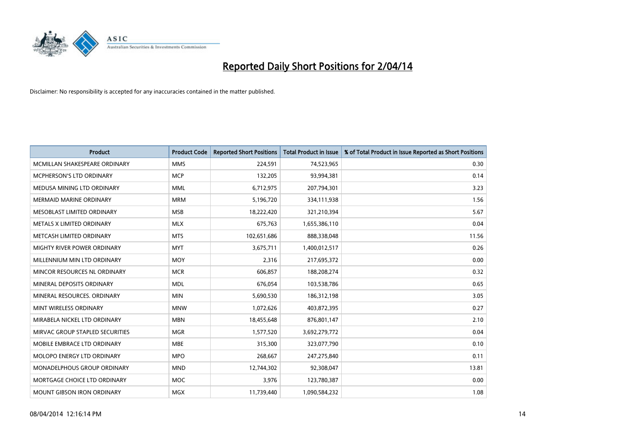

| Product                         | <b>Product Code</b> | <b>Reported Short Positions</b> | <b>Total Product in Issue</b> | % of Total Product in Issue Reported as Short Positions |
|---------------------------------|---------------------|---------------------------------|-------------------------------|---------------------------------------------------------|
| MCMILLAN SHAKESPEARE ORDINARY   | <b>MMS</b>          | 224.591                         | 74,523,965                    | 0.30                                                    |
| <b>MCPHERSON'S LTD ORDINARY</b> | <b>MCP</b>          | 132,205                         | 93,994,381                    | 0.14                                                    |
| MEDUSA MINING LTD ORDINARY      | <b>MML</b>          | 6,712,975                       | 207,794,301                   | 3.23                                                    |
| <b>MERMAID MARINE ORDINARY</b>  | <b>MRM</b>          | 5,196,720                       | 334,111,938                   | 1.56                                                    |
| MESOBLAST LIMITED ORDINARY      | <b>MSB</b>          | 18,222,420                      | 321,210,394                   | 5.67                                                    |
| METALS X LIMITED ORDINARY       | <b>MLX</b>          | 675,763                         | 1,655,386,110                 | 0.04                                                    |
| METCASH LIMITED ORDINARY        | <b>MTS</b>          | 102,651,686                     | 888,338,048                   | 11.56                                                   |
| MIGHTY RIVER POWER ORDINARY     | <b>MYT</b>          | 3,675,711                       | 1,400,012,517                 | 0.26                                                    |
| MILLENNIUM MIN LTD ORDINARY     | <b>MOY</b>          | 2,316                           | 217,695,372                   | 0.00                                                    |
| MINCOR RESOURCES NL ORDINARY    | <b>MCR</b>          | 606,857                         | 188,208,274                   | 0.32                                                    |
| MINERAL DEPOSITS ORDINARY       | <b>MDL</b>          | 676,054                         | 103,538,786                   | 0.65                                                    |
| MINERAL RESOURCES. ORDINARY     | <b>MIN</b>          | 5,690,530                       | 186,312,198                   | 3.05                                                    |
| MINT WIRELESS ORDINARY          | <b>MNW</b>          | 1,072,626                       | 403,872,395                   | 0.27                                                    |
| MIRABELA NICKEL LTD ORDINARY    | <b>MBN</b>          | 18,455,648                      | 876,801,147                   | 2.10                                                    |
| MIRVAC GROUP STAPLED SECURITIES | <b>MGR</b>          | 1,577,520                       | 3,692,279,772                 | 0.04                                                    |
| MOBILE EMBRACE LTD ORDINARY     | <b>MBE</b>          | 315,300                         | 323,077,790                   | 0.10                                                    |
| MOLOPO ENERGY LTD ORDINARY      | <b>MPO</b>          | 268,667                         | 247,275,840                   | 0.11                                                    |
| MONADELPHOUS GROUP ORDINARY     | <b>MND</b>          | 12,744,302                      | 92,308,047                    | 13.81                                                   |
| MORTGAGE CHOICE LTD ORDINARY    | <b>MOC</b>          | 3,976                           | 123,780,387                   | 0.00                                                    |
| MOUNT GIBSON IRON ORDINARY      | MGX                 | 11,739,440                      | 1,090,584,232                 | 1.08                                                    |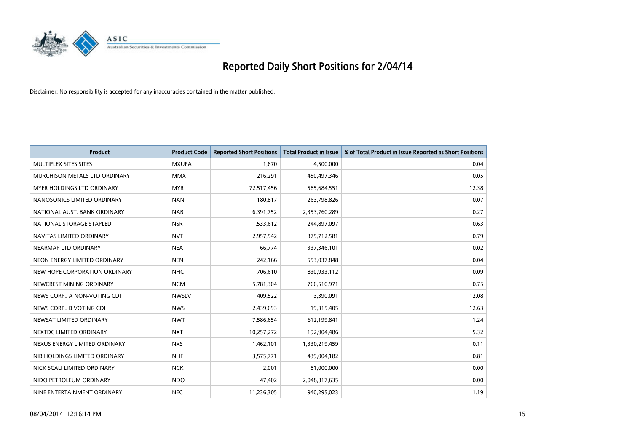

| <b>Product</b>                | <b>Product Code</b> | <b>Reported Short Positions</b> | <b>Total Product in Issue</b> | % of Total Product in Issue Reported as Short Positions |
|-------------------------------|---------------------|---------------------------------|-------------------------------|---------------------------------------------------------|
| MULTIPLEX SITES SITES         | <b>MXUPA</b>        | 1,670                           | 4,500,000                     | 0.04                                                    |
| MURCHISON METALS LTD ORDINARY | <b>MMX</b>          | 216,291                         | 450,497,346                   | 0.05                                                    |
| MYER HOLDINGS LTD ORDINARY    | <b>MYR</b>          | 72,517,456                      | 585,684,551                   | 12.38                                                   |
| NANOSONICS LIMITED ORDINARY   | <b>NAN</b>          | 180,817                         | 263,798,826                   | 0.07                                                    |
| NATIONAL AUST. BANK ORDINARY  | <b>NAB</b>          | 6,391,752                       | 2,353,760,289                 | 0.27                                                    |
| NATIONAL STORAGE STAPLED      | <b>NSR</b>          | 1,533,612                       | 244,897,097                   | 0.63                                                    |
| NAVITAS LIMITED ORDINARY      | <b>NVT</b>          | 2,957,542                       | 375,712,581                   | 0.79                                                    |
| NEARMAP LTD ORDINARY          | <b>NEA</b>          | 66,774                          | 337,346,101                   | 0.02                                                    |
| NEON ENERGY LIMITED ORDINARY  | <b>NEN</b>          | 242,166                         | 553,037,848                   | 0.04                                                    |
| NEW HOPE CORPORATION ORDINARY | <b>NHC</b>          | 706,610                         | 830,933,112                   | 0.09                                                    |
| NEWCREST MINING ORDINARY      | <b>NCM</b>          | 5,781,304                       | 766,510,971                   | 0.75                                                    |
| NEWS CORP A NON-VOTING CDI    | <b>NWSLV</b>        | 409,522                         | 3,390,091                     | 12.08                                                   |
| NEWS CORP B VOTING CDI        | <b>NWS</b>          | 2,439,693                       | 19,315,405                    | 12.63                                                   |
| NEWSAT LIMITED ORDINARY       | <b>NWT</b>          | 7,586,654                       | 612,199,841                   | 1.24                                                    |
| NEXTDC LIMITED ORDINARY       | <b>NXT</b>          | 10,257,272                      | 192,904,486                   | 5.32                                                    |
| NEXUS ENERGY LIMITED ORDINARY | <b>NXS</b>          | 1,462,101                       | 1,330,219,459                 | 0.11                                                    |
| NIB HOLDINGS LIMITED ORDINARY | <b>NHF</b>          | 3,575,771                       | 439,004,182                   | 0.81                                                    |
| NICK SCALI LIMITED ORDINARY   | <b>NCK</b>          | 2,001                           | 81,000,000                    | 0.00                                                    |
| NIDO PETROLEUM ORDINARY       | <b>NDO</b>          | 47,402                          | 2,048,317,635                 | 0.00                                                    |
| NINE ENTERTAINMENT ORDINARY   | <b>NEC</b>          | 11,236,305                      | 940,295,023                   | 1.19                                                    |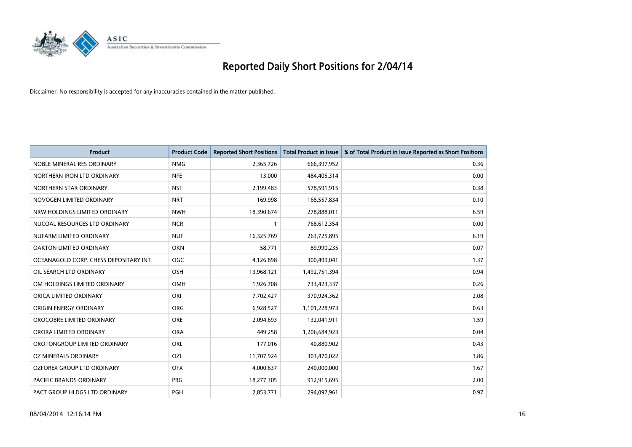

| <b>Product</b>                        | <b>Product Code</b> | <b>Reported Short Positions</b> | <b>Total Product in Issue</b> | % of Total Product in Issue Reported as Short Positions |
|---------------------------------------|---------------------|---------------------------------|-------------------------------|---------------------------------------------------------|
| NOBLE MINERAL RES ORDINARY            | <b>NMG</b>          | 2,365,726                       | 666,397,952                   | 0.36                                                    |
| NORTHERN IRON LTD ORDINARY            | <b>NFE</b>          | 13,000                          | 484,405,314                   | 0.00                                                    |
| NORTHERN STAR ORDINARY                | <b>NST</b>          | 2,199,483                       | 578,591,915                   | 0.38                                                    |
| NOVOGEN LIMITED ORDINARY              | <b>NRT</b>          | 169,998                         | 168,557,834                   | 0.10                                                    |
| NRW HOLDINGS LIMITED ORDINARY         | <b>NWH</b>          | 18,390,674                      | 278,888,011                   | 6.59                                                    |
| NUCOAL RESOURCES LTD ORDINARY         | <b>NCR</b>          | $\mathbf{1}$                    | 768,612,354                   | 0.00                                                    |
| NUFARM LIMITED ORDINARY               | <b>NUF</b>          | 16,325,769                      | 263,725,895                   | 6.19                                                    |
| OAKTON LIMITED ORDINARY               | <b>OKN</b>          | 58,771                          | 89,990,235                    | 0.07                                                    |
| OCEANAGOLD CORP. CHESS DEPOSITARY INT | <b>OGC</b>          | 4,126,898                       | 300,499,041                   | 1.37                                                    |
| OIL SEARCH LTD ORDINARY               | OSH                 | 13,968,121                      | 1,492,751,394                 | 0.94                                                    |
| OM HOLDINGS LIMITED ORDINARY          | OMH                 | 1,926,708                       | 733,423,337                   | 0.26                                                    |
| ORICA LIMITED ORDINARY                | ORI                 | 7,702,427                       | 370,924,362                   | 2.08                                                    |
| ORIGIN ENERGY ORDINARY                | ORG                 | 6,928,527                       | 1,101,228,973                 | 0.63                                                    |
| OROCOBRE LIMITED ORDINARY             | <b>ORE</b>          | 2,094,693                       | 132,041,911                   | 1.59                                                    |
| ORORA LIMITED ORDINARY                | <b>ORA</b>          | 449,258                         | 1,206,684,923                 | 0.04                                                    |
| OROTONGROUP LIMITED ORDINARY          | ORL                 | 177,016                         | 40,880,902                    | 0.43                                                    |
| OZ MINERALS ORDINARY                  | OZL                 | 11,707,924                      | 303,470,022                   | 3.86                                                    |
| OZFOREX GROUP LTD ORDINARY            | <b>OFX</b>          | 4,000,637                       | 240,000,000                   | 1.67                                                    |
| <b>PACIFIC BRANDS ORDINARY</b>        | <b>PBG</b>          | 18,277,305                      | 912,915,695                   | 2.00                                                    |
| PACT GROUP HLDGS LTD ORDINARY         | PGH                 | 2,853,771                       | 294,097,961                   | 0.97                                                    |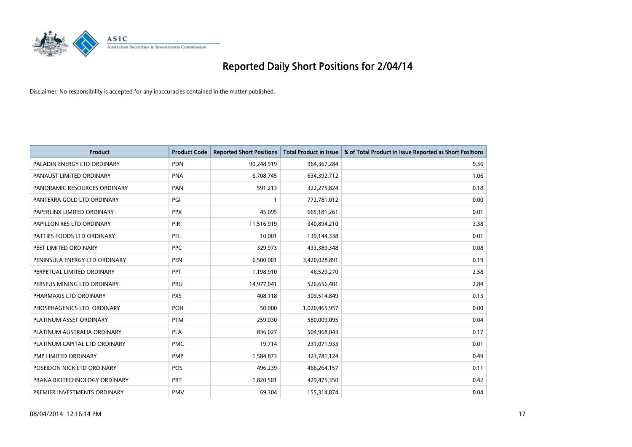

| <b>Product</b>                | <b>Product Code</b> | <b>Reported Short Positions</b> | <b>Total Product in Issue</b> | % of Total Product in Issue Reported as Short Positions |
|-------------------------------|---------------------|---------------------------------|-------------------------------|---------------------------------------------------------|
| PALADIN ENERGY LTD ORDINARY   | <b>PDN</b>          | 90,248,919                      | 964,367,284                   | 9.36                                                    |
| PANAUST LIMITED ORDINARY      | <b>PNA</b>          | 6,708,745                       | 634,392,712                   | 1.06                                                    |
| PANORAMIC RESOURCES ORDINARY  | PAN                 | 591,213                         | 322,275,824                   | 0.18                                                    |
| PANTERRA GOLD LTD ORDINARY    | PGI                 | $\mathbf{1}$                    | 772,781,012                   | 0.00                                                    |
| PAPERLINX LIMITED ORDINARY    | <b>PPX</b>          | 45,095                          | 665, 181, 261                 | 0.01                                                    |
| PAPILLON RES LTD ORDINARY     | PIR                 | 11,516,919                      | 340,894,210                   | 3.38                                                    |
| PATTIES FOODS LTD ORDINARY    | <b>PFL</b>          | 10,001                          | 139,144,338                   | 0.01                                                    |
| PEET LIMITED ORDINARY         | <b>PPC</b>          | 329,973                         | 433,389,348                   | 0.08                                                    |
| PENINSULA ENERGY LTD ORDINARY | <b>PEN</b>          | 6,500,001                       | 3,420,028,891                 | 0.19                                                    |
| PERPETUAL LIMITED ORDINARY    | <b>PPT</b>          | 1,198,910                       | 46,529,270                    | 2.58                                                    |
| PERSEUS MINING LTD ORDINARY   | PRU                 | 14,977,041                      | 526,656,401                   | 2.84                                                    |
| PHARMAXIS LTD ORDINARY        | <b>PXS</b>          | 408,118                         | 309,514,849                   | 0.13                                                    |
| PHOSPHAGENICS LTD. ORDINARY   | POH                 | 50,000                          | 1,020,465,957                 | 0.00                                                    |
| PLATINUM ASSET ORDINARY       | <b>PTM</b>          | 259,030                         | 580,009,095                   | 0.04                                                    |
| PLATINUM AUSTRALIA ORDINARY   | <b>PLA</b>          | 836,027                         | 504,968,043                   | 0.17                                                    |
| PLATINUM CAPITAL LTD ORDINARY | <b>PMC</b>          | 19,714                          | 231,071,933                   | 0.01                                                    |
| PMP LIMITED ORDINARY          | <b>PMP</b>          | 1,584,873                       | 323,781,124                   | 0.49                                                    |
| POSEIDON NICK LTD ORDINARY    | <b>POS</b>          | 496,239                         | 466,264,157                   | 0.11                                                    |
| PRANA BIOTECHNOLOGY ORDINARY  | PBT                 | 1,820,501                       | 429,475,350                   | 0.42                                                    |
| PREMIER INVESTMENTS ORDINARY  | <b>PMV</b>          | 69,304                          | 155,314,874                   | 0.04                                                    |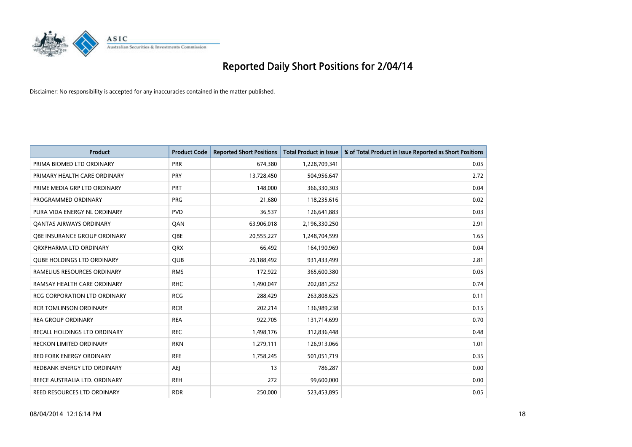

| <b>Product</b>                      | <b>Product Code</b> | <b>Reported Short Positions</b> | <b>Total Product in Issue</b> | % of Total Product in Issue Reported as Short Positions |
|-------------------------------------|---------------------|---------------------------------|-------------------------------|---------------------------------------------------------|
| PRIMA BIOMED LTD ORDINARY           | <b>PRR</b>          | 674,380                         | 1,228,709,341                 | 0.05                                                    |
| PRIMARY HEALTH CARE ORDINARY        | <b>PRY</b>          | 13,728,450                      | 504,956,647                   | 2.72                                                    |
| PRIME MEDIA GRP LTD ORDINARY        | PRT                 | 148,000                         | 366,330,303                   | 0.04                                                    |
| PROGRAMMED ORDINARY                 | <b>PRG</b>          | 21,680                          | 118,235,616                   | 0.02                                                    |
| PURA VIDA ENERGY NL ORDINARY        | <b>PVD</b>          | 36,537                          | 126,641,883                   | 0.03                                                    |
| <b>QANTAS AIRWAYS ORDINARY</b>      | QAN                 | 63,906,018                      | 2,196,330,250                 | 2.91                                                    |
| OBE INSURANCE GROUP ORDINARY        | <b>OBE</b>          | 20,555,227                      | 1,248,704,599                 | 1.65                                                    |
| ORXPHARMA LTD ORDINARY              | <b>QRX</b>          | 66,492                          | 164,190,969                   | 0.04                                                    |
| <b>QUBE HOLDINGS LTD ORDINARY</b>   | <b>QUB</b>          | 26,188,492                      | 931,433,499                   | 2.81                                                    |
| RAMELIUS RESOURCES ORDINARY         | <b>RMS</b>          | 172,922                         | 365,600,380                   | 0.05                                                    |
| RAMSAY HEALTH CARE ORDINARY         | <b>RHC</b>          | 1,490,047                       | 202,081,252                   | 0.74                                                    |
| <b>RCG CORPORATION LTD ORDINARY</b> | <b>RCG</b>          | 288,429                         | 263,808,625                   | 0.11                                                    |
| <b>RCR TOMLINSON ORDINARY</b>       | <b>RCR</b>          | 202,214                         | 136,989,238                   | 0.15                                                    |
| <b>REA GROUP ORDINARY</b>           | <b>REA</b>          | 922,705                         | 131,714,699                   | 0.70                                                    |
| <b>RECALL HOLDINGS LTD ORDINARY</b> | <b>REC</b>          | 1,498,176                       | 312,836,448                   | 0.48                                                    |
| <b>RECKON LIMITED ORDINARY</b>      | <b>RKN</b>          | 1,279,111                       | 126,913,066                   | 1.01                                                    |
| RED FORK ENERGY ORDINARY            | <b>RFE</b>          | 1,758,245                       | 501,051,719                   | 0.35                                                    |
| REDBANK ENERGY LTD ORDINARY         | AEJ                 | 13                              | 786,287                       | 0.00                                                    |
| REECE AUSTRALIA LTD. ORDINARY       | <b>REH</b>          | 272                             | 99,600,000                    | 0.00                                                    |
| REED RESOURCES LTD ORDINARY         | <b>RDR</b>          | 250,000                         | 523,453,895                   | 0.05                                                    |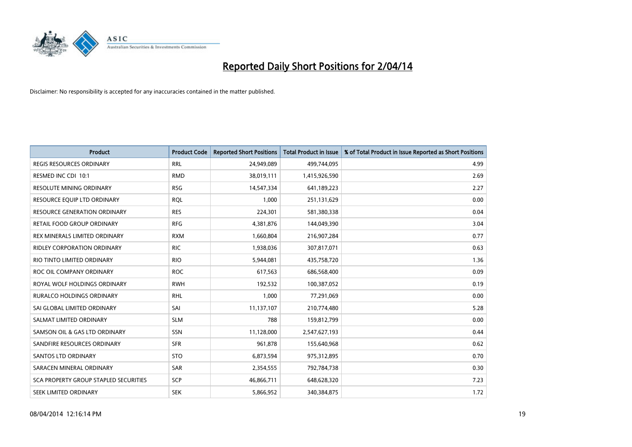

| <b>Product</b>                               | <b>Product Code</b> | <b>Reported Short Positions</b> | <b>Total Product in Issue</b> | % of Total Product in Issue Reported as Short Positions |
|----------------------------------------------|---------------------|---------------------------------|-------------------------------|---------------------------------------------------------|
| <b>REGIS RESOURCES ORDINARY</b>              | <b>RRL</b>          | 24,949,089                      | 499,744,095                   | 4.99                                                    |
| RESMED INC CDI 10:1                          | <b>RMD</b>          | 38,019,111                      | 1,415,926,590                 | 2.69                                                    |
| <b>RESOLUTE MINING ORDINARY</b>              | <b>RSG</b>          | 14,547,334                      | 641,189,223                   | 2.27                                                    |
| RESOURCE EQUIP LTD ORDINARY                  | <b>RQL</b>          | 1,000                           | 251,131,629                   | 0.00                                                    |
| <b>RESOURCE GENERATION ORDINARY</b>          | <b>RES</b>          | 224,301                         | 581,380,338                   | 0.04                                                    |
| <b>RETAIL FOOD GROUP ORDINARY</b>            | <b>RFG</b>          | 4,381,876                       | 144,049,390                   | 3.04                                                    |
| REX MINERALS LIMITED ORDINARY                | <b>RXM</b>          | 1,660,804                       | 216,907,284                   | 0.77                                                    |
| RIDLEY CORPORATION ORDINARY                  | <b>RIC</b>          | 1,938,036                       | 307,817,071                   | 0.63                                                    |
| RIO TINTO LIMITED ORDINARY                   | <b>RIO</b>          | 5,944,081                       | 435,758,720                   | 1.36                                                    |
| ROC OIL COMPANY ORDINARY                     | <b>ROC</b>          | 617,563                         | 686,568,400                   | 0.09                                                    |
| ROYAL WOLF HOLDINGS ORDINARY                 | <b>RWH</b>          | 192,532                         | 100,387,052                   | 0.19                                                    |
| <b>RURALCO HOLDINGS ORDINARY</b>             | <b>RHL</b>          | 1,000                           | 77,291,069                    | 0.00                                                    |
| SAI GLOBAL LIMITED ORDINARY                  | SAI                 | 11,137,107                      | 210,774,480                   | 5.28                                                    |
| SALMAT LIMITED ORDINARY                      | <b>SLM</b>          | 788                             | 159,812,799                   | 0.00                                                    |
| SAMSON OIL & GAS LTD ORDINARY                | SSN                 | 11,128,000                      | 2,547,627,193                 | 0.44                                                    |
| SANDFIRE RESOURCES ORDINARY                  | <b>SFR</b>          | 961,878                         | 155,640,968                   | 0.62                                                    |
| SANTOS LTD ORDINARY                          | <b>STO</b>          | 6,873,594                       | 975,312,895                   | 0.70                                                    |
| SARACEN MINERAL ORDINARY                     | <b>SAR</b>          | 2,354,555                       | 792,784,738                   | 0.30                                                    |
| <b>SCA PROPERTY GROUP STAPLED SECURITIES</b> | <b>SCP</b>          | 46,866,711                      | 648,628,320                   | 7.23                                                    |
| SEEK LIMITED ORDINARY                        | <b>SEK</b>          | 5,866,952                       | 340,384,875                   | 1.72                                                    |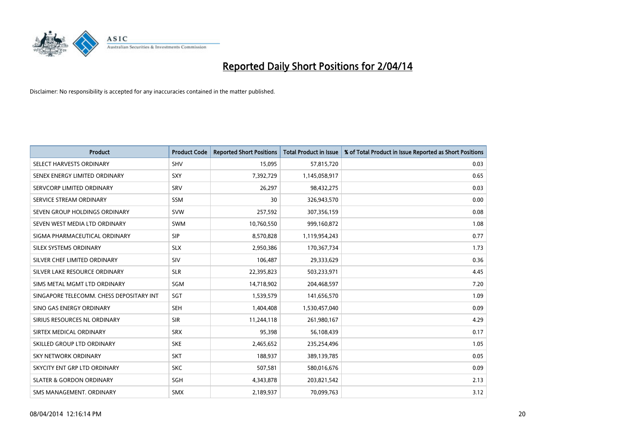

| <b>Product</b>                           | <b>Product Code</b> | <b>Reported Short Positions</b> | <b>Total Product in Issue</b> | % of Total Product in Issue Reported as Short Positions |
|------------------------------------------|---------------------|---------------------------------|-------------------------------|---------------------------------------------------------|
| SELECT HARVESTS ORDINARY                 | SHV                 | 15,095                          | 57,815,720                    | 0.03                                                    |
| SENEX ENERGY LIMITED ORDINARY            | <b>SXY</b>          | 7,392,729                       | 1,145,058,917                 | 0.65                                                    |
| SERVCORP LIMITED ORDINARY                | SRV                 | 26,297                          | 98,432,275                    | 0.03                                                    |
| SERVICE STREAM ORDINARY                  | SSM                 | 30                              | 326,943,570                   | 0.00                                                    |
| SEVEN GROUP HOLDINGS ORDINARY            | <b>SVW</b>          | 257,592                         | 307,356,159                   | 0.08                                                    |
| SEVEN WEST MEDIA LTD ORDINARY            | <b>SWM</b>          | 10,760,550                      | 999,160,872                   | 1.08                                                    |
| SIGMA PHARMACEUTICAL ORDINARY            | <b>SIP</b>          | 8,570,828                       | 1,119,954,243                 | 0.77                                                    |
| SILEX SYSTEMS ORDINARY                   | <b>SLX</b>          | 2,950,386                       | 170,367,734                   | 1.73                                                    |
| SILVER CHEF LIMITED ORDINARY             | SIV                 | 106,487                         | 29,333,629                    | 0.36                                                    |
| SILVER LAKE RESOURCE ORDINARY            | <b>SLR</b>          | 22,395,823                      | 503,233,971                   | 4.45                                                    |
| SIMS METAL MGMT LTD ORDINARY             | SGM                 | 14,718,902                      | 204,468,597                   | 7.20                                                    |
| SINGAPORE TELECOMM. CHESS DEPOSITARY INT | SGT                 | 1,539,579                       | 141,656,570                   | 1.09                                                    |
| SINO GAS ENERGY ORDINARY                 | <b>SEH</b>          | 1,404,408                       | 1,530,457,040                 | 0.09                                                    |
| SIRIUS RESOURCES NL ORDINARY             | <b>SIR</b>          | 11,244,118                      | 261,980,167                   | 4.29                                                    |
| SIRTEX MEDICAL ORDINARY                  | <b>SRX</b>          | 95,398                          | 56,108,439                    | 0.17                                                    |
| SKILLED GROUP LTD ORDINARY               | <b>SKE</b>          | 2,465,652                       | 235,254,496                   | 1.05                                                    |
| SKY NETWORK ORDINARY                     | <b>SKT</b>          | 188,937                         | 389,139,785                   | 0.05                                                    |
| SKYCITY ENT GRP LTD ORDINARY             | <b>SKC</b>          | 507,581                         | 580,016,676                   | 0.09                                                    |
| <b>SLATER &amp; GORDON ORDINARY</b>      | SGH                 | 4,343,878                       | 203,821,542                   | 2.13                                                    |
| SMS MANAGEMENT, ORDINARY                 | <b>SMX</b>          | 2,189,937                       | 70,099,763                    | 3.12                                                    |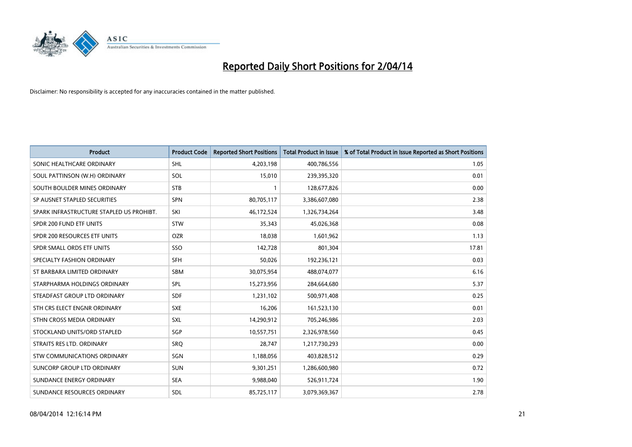

| <b>Product</b>                           | <b>Product Code</b> | <b>Reported Short Positions</b> | <b>Total Product in Issue</b> | % of Total Product in Issue Reported as Short Positions |
|------------------------------------------|---------------------|---------------------------------|-------------------------------|---------------------------------------------------------|
| SONIC HEALTHCARE ORDINARY                | <b>SHL</b>          | 4,203,198                       | 400,786,556                   | 1.05                                                    |
| SOUL PATTINSON (W.H) ORDINARY            | SOL                 | 15,010                          | 239,395,320                   | 0.01                                                    |
| SOUTH BOULDER MINES ORDINARY             | <b>STB</b>          | 1                               | 128,677,826                   | 0.00                                                    |
| SP AUSNET STAPLED SECURITIES             | <b>SPN</b>          | 80,705,117                      | 3,386,607,080                 | 2.38                                                    |
| SPARK INFRASTRUCTURE STAPLED US PROHIBT. | SKI                 | 46,172,524                      | 1,326,734,264                 | 3.48                                                    |
| SPDR 200 FUND ETF UNITS                  | <b>STW</b>          | 35,343                          | 45,026,368                    | 0.08                                                    |
| SPDR 200 RESOURCES ETF UNITS             | <b>OZR</b>          | 18,038                          | 1,601,962                     | 1.13                                                    |
| SPDR SMALL ORDS ETF UNITS                | SSO                 | 142,728                         | 801,304                       | 17.81                                                   |
| SPECIALTY FASHION ORDINARY               | SFH                 | 50,026                          | 192,236,121                   | 0.03                                                    |
| ST BARBARA LIMITED ORDINARY              | <b>SBM</b>          | 30,075,954                      | 488,074,077                   | 6.16                                                    |
| STARPHARMA HOLDINGS ORDINARY             | <b>SPL</b>          | 15,273,956                      | 284,664,680                   | 5.37                                                    |
| STEADFAST GROUP LTD ORDINARY             | <b>SDF</b>          | 1,231,102                       | 500,971,408                   | 0.25                                                    |
| STH CRS ELECT ENGNR ORDINARY             | <b>SXE</b>          | 16,206                          | 161,523,130                   | 0.01                                                    |
| STHN CROSS MEDIA ORDINARY                | SXL                 | 14,290,912                      | 705,246,986                   | 2.03                                                    |
| STOCKLAND UNITS/ORD STAPLED              | SGP                 | 10,557,751                      | 2,326,978,560                 | 0.45                                                    |
| STRAITS RES LTD. ORDINARY                | SRO                 | 28,747                          | 1,217,730,293                 | 0.00                                                    |
| STW COMMUNICATIONS ORDINARY              | SGN                 | 1,188,056                       | 403,828,512                   | 0.29                                                    |
| SUNCORP GROUP LTD ORDINARY               | <b>SUN</b>          | 9,301,251                       | 1,286,600,980                 | 0.72                                                    |
| SUNDANCE ENERGY ORDINARY                 | <b>SEA</b>          | 9,988,040                       | 526,911,724                   | 1.90                                                    |
| SUNDANCE RESOURCES ORDINARY              | <b>SDL</b>          | 85,725,117                      | 3,079,369,367                 | 2.78                                                    |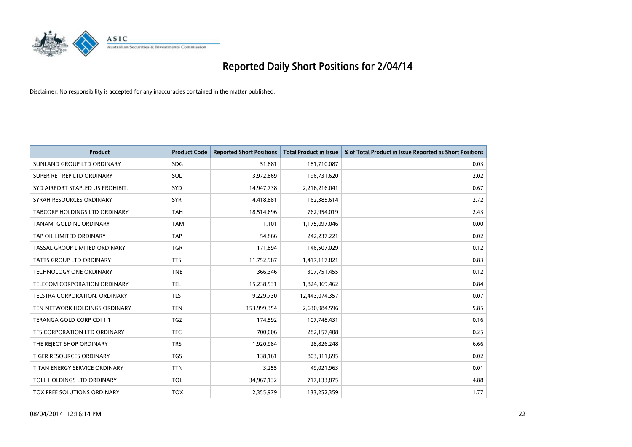

| <b>Product</b>                       | <b>Product Code</b> | <b>Reported Short Positions</b> | <b>Total Product in Issue</b> | % of Total Product in Issue Reported as Short Positions |
|--------------------------------------|---------------------|---------------------------------|-------------------------------|---------------------------------------------------------|
| SUNLAND GROUP LTD ORDINARY           | <b>SDG</b>          | 51,881                          | 181,710,087                   | 0.03                                                    |
| SUPER RET REP LTD ORDINARY           | SUL                 | 3,972,869                       | 196,731,620                   | 2.02                                                    |
| SYD AIRPORT STAPLED US PROHIBIT.     | <b>SYD</b>          | 14,947,738                      | 2,216,216,041                 | 0.67                                                    |
| SYRAH RESOURCES ORDINARY             | <b>SYR</b>          | 4,418,881                       | 162,385,614                   | 2.72                                                    |
| <b>TABCORP HOLDINGS LTD ORDINARY</b> | <b>TAH</b>          | 18,514,696                      | 762,954,019                   | 2.43                                                    |
| TANAMI GOLD NL ORDINARY              | <b>TAM</b>          | 1,101                           | 1,175,097,046                 | 0.00                                                    |
| TAP OIL LIMITED ORDINARY             | <b>TAP</b>          | 54.866                          | 242,237,221                   | 0.02                                                    |
| TASSAL GROUP LIMITED ORDINARY        | <b>TGR</b>          | 171,894                         | 146,507,029                   | 0.12                                                    |
| <b>TATTS GROUP LTD ORDINARY</b>      | <b>TTS</b>          | 11,752,987                      | 1,417,117,821                 | 0.83                                                    |
| <b>TECHNOLOGY ONE ORDINARY</b>       | <b>TNE</b>          | 366,346                         | 307,751,455                   | 0.12                                                    |
| TELECOM CORPORATION ORDINARY         | <b>TEL</b>          | 15,238,531                      | 1,824,369,462                 | 0.84                                                    |
| <b>TELSTRA CORPORATION, ORDINARY</b> | <b>TLS</b>          | 9,229,730                       | 12,443,074,357                | 0.07                                                    |
| TEN NETWORK HOLDINGS ORDINARY        | <b>TEN</b>          | 153,999,354                     | 2,630,984,596                 | 5.85                                                    |
| TERANGA GOLD CORP CDI 1:1            | <b>TGZ</b>          | 174,592                         | 107,748,431                   | 0.16                                                    |
| TFS CORPORATION LTD ORDINARY         | <b>TFC</b>          | 700,006                         | 282,157,408                   | 0.25                                                    |
| THE REJECT SHOP ORDINARY             | <b>TRS</b>          | 1,920,984                       | 28,826,248                    | 6.66                                                    |
| TIGER RESOURCES ORDINARY             | TGS                 | 138,161                         | 803,311,695                   | 0.02                                                    |
| TITAN ENERGY SERVICE ORDINARY        | <b>TTN</b>          | 3,255                           | 49,021,963                    | 0.01                                                    |
| TOLL HOLDINGS LTD ORDINARY           | <b>TOL</b>          | 34,967,132                      | 717,133,875                   | 4.88                                                    |
| TOX FREE SOLUTIONS ORDINARY          | <b>TOX</b>          | 2,355,979                       | 133,252,359                   | 1.77                                                    |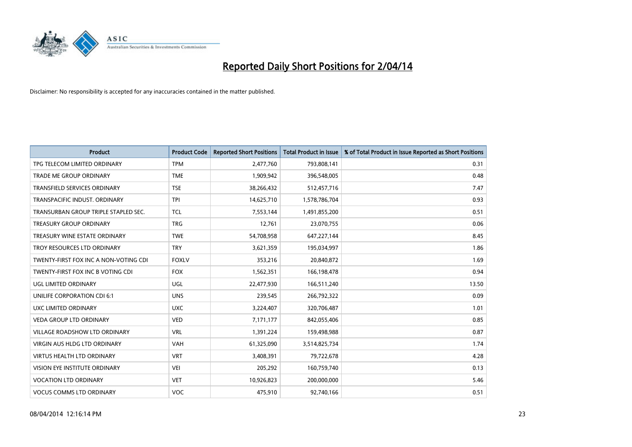

| <b>Product</b>                        | <b>Product Code</b> | <b>Reported Short Positions</b> | <b>Total Product in Issue</b> | % of Total Product in Issue Reported as Short Positions |
|---------------------------------------|---------------------|---------------------------------|-------------------------------|---------------------------------------------------------|
| TPG TELECOM LIMITED ORDINARY          | <b>TPM</b>          | 2,477,760                       | 793,808,141                   | 0.31                                                    |
| TRADE ME GROUP ORDINARY               | <b>TME</b>          | 1,909,942                       | 396,548,005                   | 0.48                                                    |
| <b>TRANSFIELD SERVICES ORDINARY</b>   | <b>TSE</b>          | 38,266,432                      | 512,457,716                   | 7.47                                                    |
| TRANSPACIFIC INDUST. ORDINARY         | <b>TPI</b>          | 14,625,710                      | 1,578,786,704                 | 0.93                                                    |
| TRANSURBAN GROUP TRIPLE STAPLED SEC.  | TCL                 | 7,553,144                       | 1,491,855,200                 | 0.51                                                    |
| <b>TREASURY GROUP ORDINARY</b>        | <b>TRG</b>          | 12,761                          | 23,070,755                    | 0.06                                                    |
| TREASURY WINE ESTATE ORDINARY         | <b>TWE</b>          | 54,708,958                      | 647,227,144                   | 8.45                                                    |
| TROY RESOURCES LTD ORDINARY           | <b>TRY</b>          | 3,621,359                       | 195,034,997                   | 1.86                                                    |
| TWENTY-FIRST FOX INC A NON-VOTING CDI | <b>FOXLV</b>        | 353,216                         | 20,840,872                    | 1.69                                                    |
| TWENTY-FIRST FOX INC B VOTING CDI     | <b>FOX</b>          | 1,562,351                       | 166,198,478                   | 0.94                                                    |
| UGL LIMITED ORDINARY                  | UGL                 | 22,477,930                      | 166,511,240                   | 13.50                                                   |
| UNILIFE CORPORATION CDI 6:1           | <b>UNS</b>          | 239,545                         | 266,792,322                   | 0.09                                                    |
| UXC LIMITED ORDINARY                  | <b>UXC</b>          | 3,224,407                       | 320,706,487                   | 1.01                                                    |
| <b>VEDA GROUP LTD ORDINARY</b>        | <b>VED</b>          | 7,171,177                       | 842,055,406                   | 0.85                                                    |
| VILLAGE ROADSHOW LTD ORDINARY         | <b>VRL</b>          | 1,391,224                       | 159,498,988                   | 0.87                                                    |
| VIRGIN AUS HLDG LTD ORDINARY          | VAH                 | 61,325,090                      | 3,514,825,734                 | 1.74                                                    |
| VIRTUS HEALTH LTD ORDINARY            | <b>VRT</b>          | 3,408,391                       | 79,722,678                    | 4.28                                                    |
| VISION EYE INSTITUTE ORDINARY         | <b>VEI</b>          | 205,292                         | 160,759,740                   | 0.13                                                    |
| <b>VOCATION LTD ORDINARY</b>          | <b>VET</b>          | 10,926,823                      | 200,000,000                   | 5.46                                                    |
| <b>VOCUS COMMS LTD ORDINARY</b>       | VOC                 | 475,910                         | 92,740,166                    | 0.51                                                    |